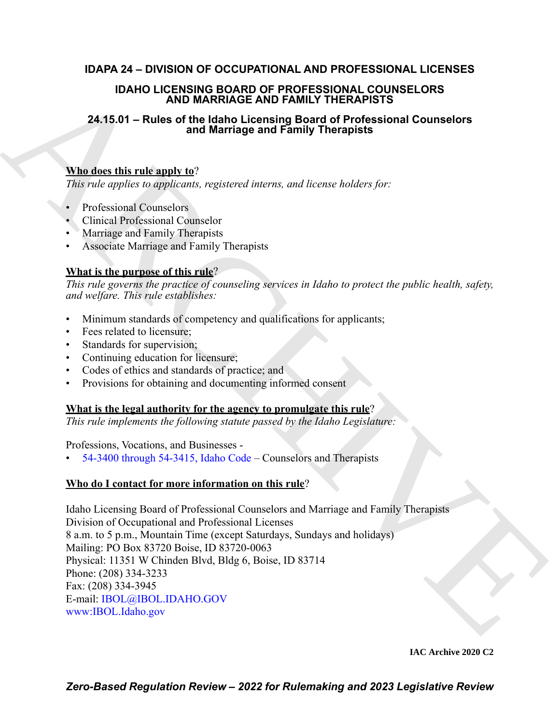# **IDAPA 24 – DIVISION OF OCCUPATIONAL AND PROFESSIONAL LICENSES**

## **IDAHO LICENSING BOARD OF PROFESSIONAL COUNSELORS AND MARRIAGE AND FAMILY THERAPISTS**

# **24.15.01 – Rules of the Idaho Licensing Board of Professional Counselors and Marriage and Family Therapists**

# **Who does this rule apply to**?

*This rule applies to applicants, registered interns, and license holders for:*

- Professional Counselors
- Clinical Professional Counselor
- Marriage and Family Therapists
- Associate Marriage and Family Therapists

# **What is the purpose of this rule**?

*This rule governs the practice of counseling services in Idaho to protect the public health, safety, and welfare. This rule establishes:*

- Minimum standards of competency and qualifications for applicants;
- Fees related to licensure;
- Standards for supervision;
- Continuing education for licensure;
- Codes of ethics and standards of practice; and
- Provisions for obtaining and documenting informed consent

## **What is the legal authority for the agency to promulgate this rule**?

*This rule implements the following statute passed by the Idaho Legislature:*

## Professions, Vocations, and Businesses -

• 54-3400 through 54-3415, Idaho Code – Counselors and Therapists

# **Who do I contact for more information on this rule**?

IDA[H](https://legislature.idaho.gov/statutesrules/idstat/Title54/T54CH34/)O LARISING BOARD OF PROF[E](mailto: IBOL@IBOL.IDAHO.GOV)SSIONS<br>
24.15.01 – Rules of the Idaby Licensing Board of Professional Counselors<br>
24.15.01 – Rules of the Idaby Licensing Board of Professional Counselors<br>
26.15.01 – Rules of March Licensing Idaho Licensing Board of Professional Counselors and Marriage and Family Therapists Division of Occupational and Professional Licenses 8 a.m. to 5 p.m., Mountain Time (except Saturdays, Sundays and holidays) Mailing: PO Box 83720 Boise, ID 83720-0063 Physical: 11351 W Chinden Blvd, Bldg 6, Boise, ID 83714 Phone: (208) 334-3233 Fax: (208) 334-3945 E-mail: IBOL@IBOL.IDAHO.GOV www:IBOL.Idaho.gov

**IAC Archive 2020 C2**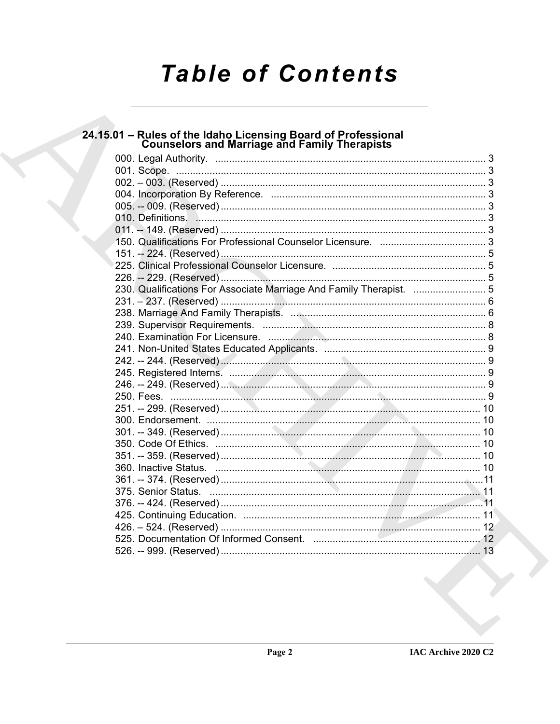# **Table of Contents**

| 24.15.01 – Rules of the Idaho Licensing Board of Professional<br>Counselors and Marriage and Family Therapists |  |
|----------------------------------------------------------------------------------------------------------------|--|
|                                                                                                                |  |
|                                                                                                                |  |
|                                                                                                                |  |
|                                                                                                                |  |
|                                                                                                                |  |
|                                                                                                                |  |
|                                                                                                                |  |
|                                                                                                                |  |
|                                                                                                                |  |
|                                                                                                                |  |
|                                                                                                                |  |
| 230. Qualifications For Associate Marriage And Family Therapist.  5                                            |  |
|                                                                                                                |  |
|                                                                                                                |  |
|                                                                                                                |  |
|                                                                                                                |  |
|                                                                                                                |  |
|                                                                                                                |  |
|                                                                                                                |  |
|                                                                                                                |  |
|                                                                                                                |  |
|                                                                                                                |  |
|                                                                                                                |  |
|                                                                                                                |  |
|                                                                                                                |  |
|                                                                                                                |  |
|                                                                                                                |  |
|                                                                                                                |  |
|                                                                                                                |  |
|                                                                                                                |  |
|                                                                                                                |  |
|                                                                                                                |  |
|                                                                                                                |  |
|                                                                                                                |  |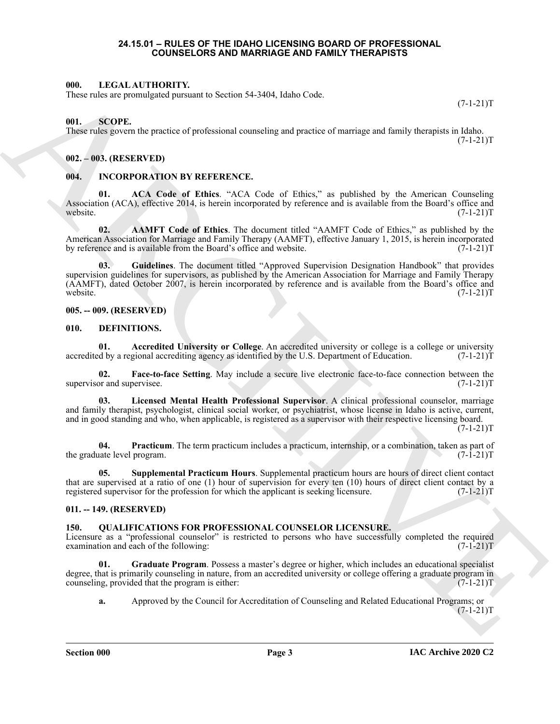#### **24.15.01 – RULES OF THE IDAHO LICENSING BOARD OF PROFESSIONAL COUNSELORS AND MARRIAGE AND FAMILY THERAPISTS**

#### <span id="page-2-18"></span><span id="page-2-1"></span><span id="page-2-0"></span>**000. LEGAL AUTHORITY.**

These rules are promulgated pursuant to Section 54-3404, Idaho Code.

 $(7-1-21)T$ 

#### <span id="page-2-21"></span><span id="page-2-2"></span>**001. SCOPE.**

These rules govern the practice of professional counseling and practice of marriage and family therapists in Idaho.  $(7-1-21)T$ 

#### <span id="page-2-3"></span>**002. – 003. (RESERVED)**

#### <span id="page-2-15"></span><span id="page-2-4"></span>**004. INCORPORATION BY REFERENCE.**

<span id="page-2-17"></span>**01. ACA Code of Ethics**. "ACA Code of Ethics," as published by the American Counseling Association (ACA), effective 2014, is herein incorporated by reference and is available from the Board's office and website.  $(7-1-21)$ T

<span id="page-2-16"></span>**02. AAMFT Code of Ethics**. The document titled "AAMFT Code of Ethics," as published by the American Association for Marriage and Family Therapy (AAMFT), effective January 1, 2015, is herein incorporated by reference and is available from the Board's office and website. (7-1-21)T

601. I. I. Conf. Million HV (Variable School statistic Code)<br>
Thus calculation points of professional connecting and practice of manings and lattaly the<br>representation process of professional connecting and practice of ma **03. Guidelines**. The document titled "Approved Supervision Designation Handbook" that provides supervision guidelines for supervisors, as published by the American Association for Marriage and Family Therapy (AAMFT), dated October 2007, is herein incorporated by reference and is available from the Board's office and website.<br>(7-1-21)T website.  $(7-1-21)$ T

#### <span id="page-2-5"></span>**005. -- 009. (RESERVED)**

#### <span id="page-2-9"></span><span id="page-2-6"></span>**010. DEFINITIONS.**

<span id="page-2-10"></span>**01.** Accredited University or College. An accredited university or college is a college or university do by a regional accrediting agency as identified by the U.S. Department of Education. (7-1-21)T accredited by a regional accrediting agency as identified by the U.S. Department of Education.

<span id="page-2-11"></span>**02.** Face-to-face Setting. May include a secure live electronic face-to-face connection between the or and supervisee. (7-1-21) supervisor and supervisee.

<span id="page-2-12"></span>**03. Licensed Mental Health Professional Supervisor**. A clinical professional counselor, marriage and family therapist, psychologist, clinical social worker, or psychiatrist, whose license in Idaho is active, current, and in good standing and who, when applicable, is registered as a supervisor with their respective licensing board.

 $(7-1-21)T$ 

<span id="page-2-13"></span>**04. Practicum**. The term practicum includes a practicum, internship, or a combination, taken as part of tate level program. (7-1-21) the graduate level program.

<span id="page-2-14"></span>**05. Supplemental Practicum Hours**. Supplemental practicum hours are hours of direct client contact that are supervised at a ratio of one (1) hour of supervision for every ten (10) hours of direct client contact by a registered supervisor for the profession for which the applicant is seeking licensure. (7-1-21)T

#### <span id="page-2-7"></span>**011. -- 149. (RESERVED)**

#### <span id="page-2-19"></span><span id="page-2-8"></span>**150. QUALIFICATIONS FOR PROFESSIONAL COUNSELOR LICENSURE.**

Licensure as a "professional counselor" is restricted to persons who have successfully completed the required examination and each of the following:  $(7-1-21)$ examination and each of the following:

**01. Graduate Program**. Possess a master's degree or higher, which includes an educational specialist degree, that is primarily counseling in nature, from an accredited university or college offering a graduate program in counseling, provided that the program is either: counseling, provided that the program is either:

<span id="page-2-20"></span>**a.** Approved by the Council for Accreditation of Counseling and Related Educational Programs; or  $(7-1-21)T$ 

**Section 000 Page 3**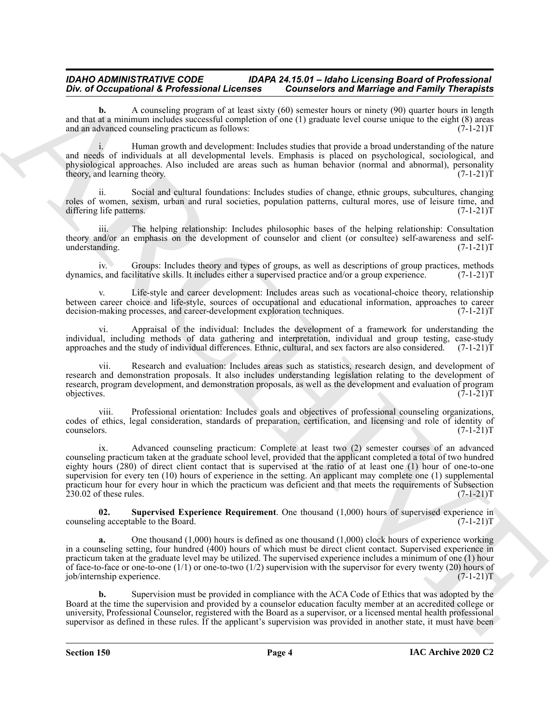**b.** A counseling program of at least sixty (60) semester hours or ninety (90) quarter hours in length and that at a minimum includes successful completion of one (1) graduate level course unique to the eight  $(8)$  areas and an advanced counseling practicum as follows:  $(7-1-21)$ and an advanced counseling practicum as follows:

i. Human growth and development: Includes studies that provide a broad understanding of the nature and needs of individuals at all developmental levels. Emphasis is placed on psychological, sociological, and physiological approaches. Also included are areas such as human behavior (normal and abnormal), personality theory, and learning theory. (7-1-21) theory, and learning theory.

ii. Social and cultural foundations: Includes studies of change, ethnic groups, subcultures, changing roles of women, sexism, urban and rural societies, population patterns, cultural mores, use of leisure time, and differing life patterns. (7-1-21) differing life patterns.

The helping relationship: Includes philosophic bases of the helping relationship: Consultation theory and/or an emphasis on the development of counselor and client (or consultee) self-awareness and self-<br>understanding. (7-1-21)T understanding.

iv. Groups: Includes theory and types of groups, as well as descriptions of group practices, methods dynamics, and facilitative skills. It includes either a supervised practice and/or a group experience. (7-1-21)T

v. Life-style and career development: Includes areas such as vocational-choice theory, relationship between career choice and life-style, sources of occupational and educational information, approaches to career<br>decision-making processes, and career-development exploration techniques. (7-1-21) decision-making processes, and career-development exploration techniques.

vi. Appraisal of the individual: Includes the development of a framework for understanding the individual, including methods of data gathering and interpretation, individual and group testing, case-study approaches and the study of individual differences. Ethnic, cultural, and sex factors are also considered. (7-1-21)T

Research and evaluation: Includes areas such as statistics, research design, and development of research and demonstration proposals. It also includes understanding legislation relating to the development of research, program development, and demonstration proposals, as well as the development and evaluation of program objectives. (7-1-21)T  $\phi$  objectives.  $(7-1-21)$ T

viii. Professional orientation: Includes goals and objectives of professional counseling organizations, codes of ethics, legal consideration, standards of preparation, certification, and licensing and role of identity of counselors. (7-1-21) counselors. (7-1-21)T

One of Octoprison is developed and the state of Marchives and Marchives and Taiwan in the state of Archives and Schwarz (1991). The state of Archives and Schwarz (1991) and the state of Archives and Schwarz (1991) and the ix. Advanced counseling practicum: Complete at least two (2) semester courses of an advanced counseling practicum taken at the graduate school level, provided that the applicant completed a total of two hundred eighty hours (280) of direct client contact that is supervised at the ratio of at least one (1) hour of one-to-one supervision for every ten (10) hours of experience in the setting. An applicant may complete one (1) supplemental practicum hour for every hour in which the practicum was deficient and that meets the requirements of Subsection  $230.02$  of these rules.  $(7-1-21)T$ 

<span id="page-3-0"></span>**02.** Supervised Experience Requirement. One thousand (1,000) hours of supervised experience in the Board. (7-1-21)T counseling acceptable to the Board.

**a.** One thousand (1,000) hours is defined as one thousand (1,000) clock hours of experience working in a counseling setting, four hundred (400) hours of which must be direct client contact. Supervised experience in practicum taken at the graduate level may be utilized. The supervised experience includes a minimum of one (1) hour of face-to-face or one-to-one  $(1/1)$  or one-to-two  $(1/2)$  supervision with the supervisor for every twenty  $(20)$  hours of job/internship experience. (7-1-21)T

**b.** Supervision must be provided in compliance with the ACA Code of Ethics that was adopted by the Board at the time the supervision and provided by a counselor education faculty member at an accredited college or university, Professional Counselor, registered with the Board as a supervisor, or a licensed mental health professional supervisor as defined in these rules. If the applicant's supervision was provided in another state, it must have been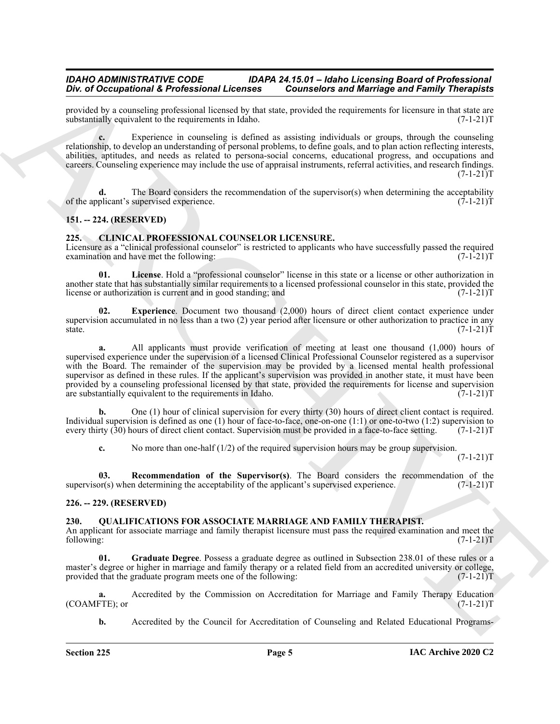provided by a counseling professional licensed by that state, provided the requirements for licensure in that state are substantially equivalent to the requirements in Idaho. (7-1-21) substantially equivalent to the requirements in Idaho.

Experience in counseling is defined as assisting individuals or groups, through the counseling relationship, to develop an understanding of personal problems, to define goals, and to plan action reflecting interests, abilities, aptitudes, and needs as related to persona-social concerns, educational progress, and occupations and careers. Counseling experience may include the use of appraisal instruments, referral activities, and research findings.  $(7-1-21)T$ 

The Board considers the recommendation of the supervisor(s) when determining the acceptability supervised experience.  $(7-1-21)T$ of the applicant's supervised experience.

#### <span id="page-4-0"></span>**151. -- 224. (RESERVED)**

#### <span id="page-4-4"></span><span id="page-4-1"></span>**225. CLINICAL PROFESSIONAL COUNSELOR LICENSURE.**

Licensure as a "clinical professional counselor" is restricted to applicants who have successfully passed the required examination and have met the following:  $(7-1-21)$ examination and have met the following:

<span id="page-4-6"></span>**01. License**. Hold a "professional counselor" license in this state or a license or other authorization in another state that has substantially similar requirements to a licensed professional counselor in this state, provided the license or authorization is current and in good standing; and  $(7-1-21)$ license or authorization is current and in good standing; and

<span id="page-4-5"></span>**02. Experience**. Document two thousand (2,000) hours of direct client contact experience under supervision accumulated in no less than a two (2) year period after licensure or other authorization to practice in any state. (7-1-21)T

For *C* Decrease of External Extension I. Consistends and Marriago and Family Theoretical<br>provides the external energy in the Singer proposed of the state of the Consistent Consistent Consistent Consistent Consistent Cons **a.** All applicants must provide verification of meeting at least one thousand (1,000) hours of supervised experience under the supervision of a licensed Clinical Professional Counselor registered as a supervisor with the Board. The remainder of the supervision may be provided by a licensed mental health professional supervisor as defined in these rules. If the applicant's supervision was provided in another state, it must have been provided by a counseling professional licensed by that state, provided the requirements for license and supervision are substantially equivalent to the requirements in Idaho. (7-1-21)T

**b.** One (1) hour of clinical supervision for every thirty (30) hours of direct client contact is required. Individual supervision is defined as one (1) hour of face-to-face, one-on-one (1:1) or one-to-two (1:2) supervision to every thirty (30) hours of direct client contact. Supervision must be provided in a face-to-face setti every thirty (30) hours of direct client contact. Supervision must be provided in a face-to-face setting.

<span id="page-4-7"></span>**c.** No more than one-half (1/2) of the required supervision hours may be group supervision.

 $(7-1-21)T$ 

**03. Recommendation of the Supervisor(s)**. The Board considers the recommendation of the or(s) when determining the acceptability of the applicant's supervised experience. (7-1-21)T supervisor(s) when determining the acceptability of the applicant's supervised experience.

#### <span id="page-4-2"></span>**226. -- 229. (RESERVED)**

#### <span id="page-4-8"></span><span id="page-4-3"></span>**230. QUALIFICATIONS FOR ASSOCIATE MARRIAGE AND FAMILY THERAPIST.**

An applicant for associate marriage and family therapist licensure must pass the required examination and meet the following: (7-1-21)T

<span id="page-4-9"></span>**01. Graduate Degree**. Possess a graduate degree as outlined in Subsection 238.01 of these rules or a master's degree or higher in marriage and family therapy or a related field from an accredited university or college, provided that the graduate program meets one of the following: (7-1-21)T

**a.** Accredited by the Commission on Accreditation for Marriage and Family Therapy Education FTE); or  $(7-1-21)$ (COAMFTE); or

**b.** Accredited by the Council for Accreditation of Counseling and Related Educational Programs-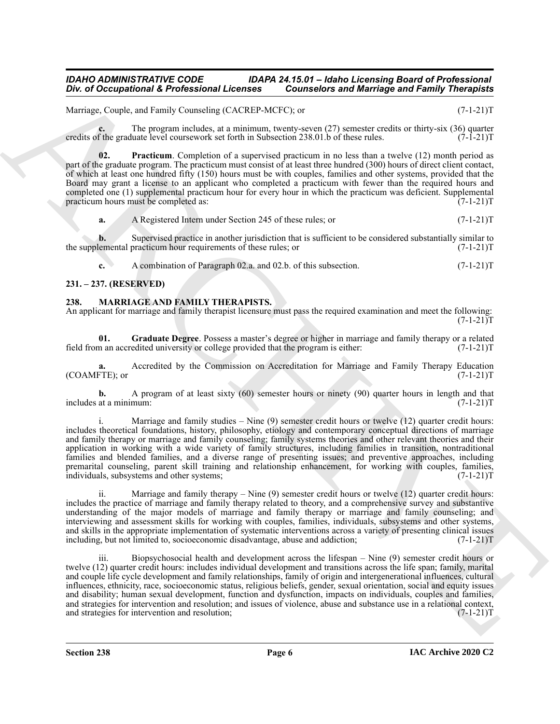Marriage, Couple, and Family Counseling (CACREP-MCFC); or  $(7-1-21)$ T

**c.** The program includes, at a minimum, twenty-seven (27) semester credits or thirty-six (36) quarter f the graduate level coursework set forth in Subsection 238.01.b of these rules. (7-1-21) credits of the graduate level coursework set forth in Subsection 238.01.b of these rules.

<span id="page-5-4"></span>**02. Practicum**. Completion of a supervised practicum in no less than a twelve (12) month period as part of the graduate program. The practicum must consist of at least three hundred (300) hours of direct client contact, of which at least one hundred fifty (150) hours must be with couples, families and other systems, provided that the Board may grant a license to an applicant who completed a practicum with fewer than the required hours and completed one (1) supplemental practicum hour for every hour in which the practicum was deficient. Supplemental practicum hours must be completed as: (7-1-21) practicum hours must be completed as:

**a.** A Registered Intern under Section 245 of these rules; or  $(7-1-21)$ T

**b.** Supervised practice in another jurisdiction that is sufficient to be considered substantially similar to the supplemental practicum hour requirements of these rules; or  $(7-1-21)$ T

<span id="page-5-2"></span>**c.** A combination of Paragraph 02.a. and 02.b. of this subsection.  $(7-1-21)T$ 

### <span id="page-5-0"></span>**231. – 237. (RESERVED)**

#### <span id="page-5-1"></span>**238. MARRIAGE AND FAMILY THERAPISTS.**

An applicant for marriage and family therapist licensure must pass the required examination and meet the following:  $(7-1-21)T$ 

<span id="page-5-3"></span>**01.** Graduate Degree. Possess a master's degree or higher in marriage and family therapy or a related m an accredited university or college provided that the program is either: (7-1-21) field from an accredited university or college provided that the program is either:

**a.** Accredited by the Commission on Accreditation for Marriage and Family Therapy Education FTE); or  $(7-1-21)$  $(COAMFTE)$ ; or

**b.** A program of at least sixty (60) semester hours or ninety (90) quarter hours in length and that at a minimum:  $(7-1-21)T$ includes at a minimum:

i. Marriage and family studies  $-$  Nine (9) semester credit hours or twelve (12) quarter credit hours: includes theoretical foundations, history, philosophy, etiology and contemporary conceptual directions of marriage and family therapy or marriage and family counseling; family systems theories and other relevant theories and their application in working with a wide variety of family structures, including families in transition, nontraditional families and blended families, and a diverse range of presenting issues; and preventive approaches, including premarital counseling, parent skill training and relationship enhancement, for working with couples, families, individuals, subsystems and other systems; (7-1-21)T

ii. Marriage and family therapy – Nine  $(9)$  semester credit hours or twelve  $(12)$  quarter credit hours: includes the practice of marriage and family therapy related to theory, and a comprehensive survey and substantive understanding of the major models of marriage and family therapy or marriage and family counseling; and interviewing and assessment skills for working with couples, families, individuals, subsystems and other systems, and skills in the appropriate implementation of systematic interventions across a variety of presenting clinical issues including, but not limited to, socioeconomic disadvantage, abuse and addiction; (7-1-21)T

One of Occupational & Professional Leventes"<br>
Marcola China Revolutional China Revolution China Revolution and Marchiga for Family Theoretical<br>
Marcola China China China China Revolution China Revolution China Revolution iii. Biopsychosocial health and development across the lifespan – Nine (9) semester credit hours or twelve (12) quarter credit hours: includes individual development and transitions across the life span; family, marital and couple life cycle development and family relationships, family of origin and intergenerational influences, cultural influences, ethnicity, race, socioeconomic status, religious beliefs, gender, sexual orientation, social and equity issues and disability; human sexual development, function and dysfunction, impacts on individuals, couples and families, and strategies for intervention and resolution; and issues of violence, abuse and substance use in a relational context, and strategies for intervention and resolution;  $(7-1-21)$ and strategies for intervention and resolution;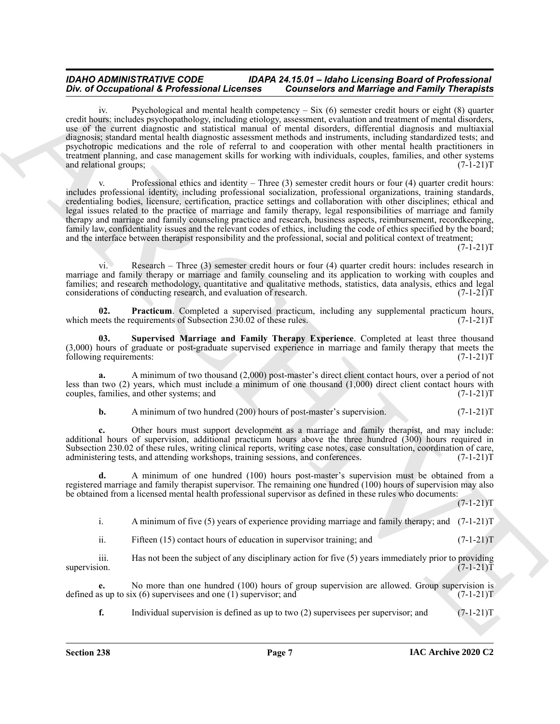One of Ocean principal distribution of Liescons Connective and Marchives and Archives Connective and Archives Connective and Archives Connective and Archives Connective and Archives Connective and Archives Connective and iv. Psychological and mental health competency – Six (6) semester credit hours or eight (8) quarter credit hours: includes psychopathology, including etiology, assessment, evaluation and treatment of mental disorders, use of the current diagnostic and statistical manual of mental disorders, differential diagnosis and multiaxial diagnosis; standard mental health diagnostic assessment methods and instruments, including standardized tests; and psychotropic medications and the role of referral to and cooperation with other mental health practitioners in treatment planning, and case management skills for working with individuals, couples, families, and other systems and relational groups: (7-1-21) and relational groups;

v. Professional ethics and identity – Three  $(3)$  semester credit hours or four  $(4)$  quarter credit hours: includes professional identity, including professional socialization, professional organizations, training standards, credentialing bodies, licensure, certification, practice settings and collaboration with other disciplines; ethical and legal issues related to the practice of marriage and family therapy, legal responsibilities of marriage and family therapy and marriage and family counseling practice and research, business aspects, reimbursement, recordkeeping, family law, confidentiality issues and the relevant codes of ethics, including the code of ethics specified by the board; and the interface between therapist responsibility and the professional, social and political context of treatment;

 $(7-1-21)T$ 

vi. Research – Three (3) semester credit hours or four (4) quarter credit hours: includes research in marriage and family therapy or marriage and family counseling and its application to working with couples and families; and research methodology, quantitative and qualitative methods, statistics, data analysis, ethics and legal considerations of conducting research, and evaluation of research. (7-1-21) considerations of conducting research, and evaluation of research.

<span id="page-6-0"></span>**02. Practicum**. Completed a supervised practicum, including any supplemental practicum hours, eets the requirements of Subsection 230.02 of these rules. (7-1-21) which meets the requirements of Subsection 230.02 of these rules.

<span id="page-6-1"></span>**03. Supervised Marriage and Family Therapy Experience**. Completed at least three thousand  $(3,000)$  hours of graduate or post-graduate supervised experience in marriage and family therapy that meets the following requirements:  $(7-1-21)$ following requirements:

**a.** A minimum of two thousand (2,000) post-master's direct client contact hours, over a period of not less than two (2) years, which must include a minimum of one thousand (1,000) direct client contact hours with couples, families, and other systems; and couples, families, and other systems; and

#### **b.** A minimum of two hundred (200) hours of post-master's supervision. (7-1-21)T

**c.** Other hours must support development as a marriage and family therapist, and may include: additional hours of supervision, additional practicum hours above the three hundred (300) hours required in Subsection 230.02 of these rules, writing clinical reports, writing case notes, case consultation, coordination of care, administering tests, and attending workshops, training sessions, and conferences. (7-1-21)T

**d.** A minimum of one hundred (100) hours post-master's supervision must be obtained from a registered marriage and family therapist supervisor. The remaining one hundred (100) hours of supervision may also be obtained from a licensed mental health professional supervisor as defined in these rules who documents:

 $(7-1-21)T$ 

i. A minimum of five (5) years of experience providing marriage and family therapy; and  $(7-1-21)$ T

ii. Fifteen (15) contact hours of education in supervisor training; and (7-1-21)T

iii. Has not been the subject of any disciplinary action for five (5) years immediately prior to providing supervision.  $(7-1-21)T$ supervision. (7-1-21)T

**e.** No more than one hundred (100) hours of group supervision are allowed. Group supervision is us up to six (6) supervisees and one (1) supervision; and  $(7-1-21)$ defined as up to six  $(6)$  supervisees and one  $(1)$  supervisor; and

**f.** Individual supervision is defined as up to two  $(2)$  supervisees per supervisor; and  $(7-1-21)T$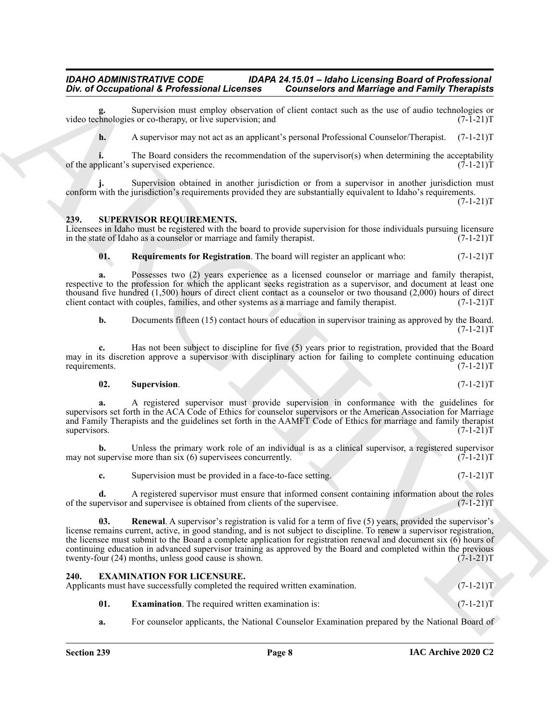Supervision must employ observation of client contact such as the use of audio technologies or s or co-therapy, or live supervision; and  $(7-1-21)$ video technologies or co-therapy, or live supervision; and

**h.** A supervisor may not act as an applicant's personal Professional Counselor/Therapist. (7-1-21)T

**i.** The Board considers the recommendation of the supervisor(s) when determining the acceptability plicant's supervised experience. (7-1-21) of the applicant's supervised experience.

**j.** Supervision obtained in another jurisdiction or from a supervisor in another jurisdiction must conform with the jurisdiction's requirements provided they are substantially equivalent to Idaho's requirements.

 $(7-1-21)T$ 

#### <span id="page-7-4"></span><span id="page-7-0"></span>**239. SUPERVISOR REQUIREMENTS.**

Licensees in Idaho must be registered with the board to provide supervision for those individuals pursuing licensure in the state of Idaho as a counselor or marriage and family therapist. (7-1-21) in the state of Idaho as a counselor or marriage and family therapist.

<span id="page-7-6"></span>**01. Requirements for Registration**. The board will register an applicant who:  $(7-1-21)T$ 

**a.** Possesses two (2) years experience as a licensed counselor or marriage and family therapist, respective to the profession for which the applicant seeks registration as a supervisor, and document at least one thousand five hundred (1,500) hours of direct client contact as a counselor or two thousand (2,000) hours of direct client contact with couples, families, and other systems as a marriage and family therapist.  $(7-1-21)$ client contact with couples, families, and other systems as a marriage and family therapist.

**b.** Documents fifteen (15) contact hours of education in supervisor training as approved by the Board.  $(7-1-21)T$ 

**c.** Has not been subject to discipline for five (5) years prior to registration, provided that the Board may in its discretion approve a supervisor with disciplinary action for failing to complete continuing education requirements.  $(7-1-21)$ T requirements. (7-1-21)T

#### <span id="page-7-7"></span>**02. Supervision**. (7-1-21)T

**a.** A registered supervisor must provide supervision in conformance with the guidelines for supervisors set forth in the ACA Code of Ethics for counselor supervisors or the American Association for Marriage and Family Therapists and the guidelines set forth in the AAMFT Code of Ethics for marriage and family therapist<br>supervisors. (7-1-21)T supervisors. (7-1-21)T

**b.** Unless the primary work role of an individual is as a clinical supervisor, a registered supervisor supervises concurrently. (7-1-21) may not supervise more than  $\sin(6)$  supervisees concurrently.

<span id="page-7-5"></span>**c.** Supervision must be provided in a face-to-face setting. (7-1-21)

**d.** A registered supervisor must ensure that informed consent containing information about the roles pervisor and supervisee is obtained from clients of the supervisee. (7-1-21) of the supervisor and supervisee is obtained from clients of the supervisee.

One of Occupation is the Meckanism Lifecnical Conneils and Meringo and Reinford Entropy Theoretics<br>
where  $\alpha$  is the basis of order that is the connection of the time of the time of the state of the state of the state of **03. Renewal**. A supervisor's registration is valid for a term of five (5) years, provided the supervisor's license remains current, active, in good standing, and is not subject to discipline. To renew a supervisor registration, the licensee must submit to the Board a complete application for registration renewal and document six (6) hours of continuing education in advanced supervisor training as approved by the Board and completed within the previous twenty-four (24) months, unless good cause is shown. (7-1-21) twenty-four  $(24)$  months, unless good cause is shown.

<span id="page-7-2"></span><span id="page-7-1"></span>

| 240. |     | <b>EXAMINATION FOR LICENSURE.</b><br>Applicants must have successfully completed the required written examination. | $(7-1-21)T$ |
|------|-----|--------------------------------------------------------------------------------------------------------------------|-------------|
|      | 01. | <b>Examination.</b> The required written examination is:                                                           | $(7-1-21)T$ |

<span id="page-7-3"></span>**a.** For counselor applicants, the National Counselor Examination prepared by the National Board of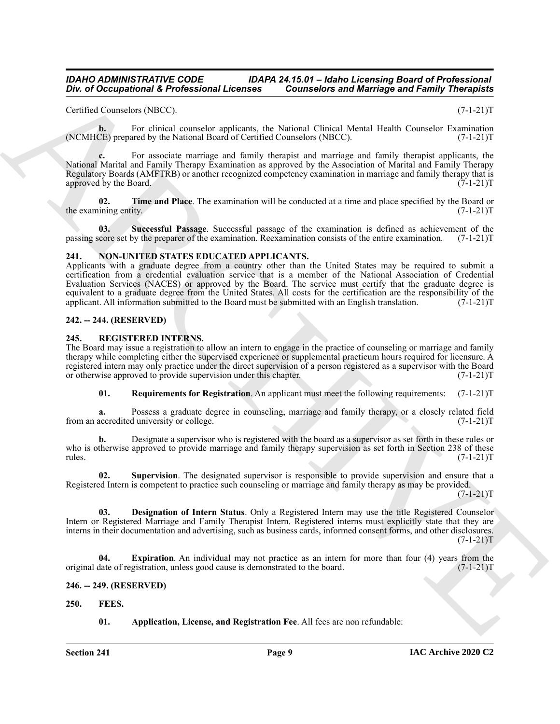Certified Counselors (NBCC). (7-1-21)T

**b.** For clinical counselor applicants, the National Clinical Mental Health Counselor Examination (NCMHCE) prepared by the National Board of Certified Counselors (NBCC). (7-1-21)T

**c.** For associate marriage and family therapist and marriage and family therapist applicants, the National Marital and Family Therapy Examination as approved by the Association of Marital and Family Therapy Regulatory Boards (AMFTRB) or another recognized competency examination in marriage and family therapy that is approved by the Board. (7-1-21)T

<span id="page-8-6"></span>**02.** Time and Place. The examination will be conducted at a time and place specified by the Board or ining entity.  $(7-1-21)T$ the examining entity.

<span id="page-8-5"></span>**03. Successful Passage**. Successful passage of the examination is defined as achievement of the passing score set by the preparer of the examination. Reexamination consists of the entire examination. (7-1-21)T

#### <span id="page-8-8"></span><span id="page-8-0"></span>**241. NON-UNITED STATES EDUCATED APPLICANTS.**

Div. a) Occupation of K. Professional Licensies<br>
Cristian Conseilers and Marchiga in Marchiga in Theorem (1983)<br>
Cristian Conseilers The Cristian Conseilers and Marchiga in the New York (1983)<br>
New York (New York (New Yor Applicants with a graduate degree from a country other than the United States may be required to submit a certification from a credential evaluation service that is a member of the National Association of Credential Evaluation Services (NACES) or approved by the Board. The service must certify that the graduate degree is equivalent to a graduate degree from the United States. All costs for the certification are the responsibility of the applicant. All information submitted to the Board must be submitted with an English translation. (7-1-21 applicant. All information submitted to the Board must be submitted with an English translation.

#### <span id="page-8-1"></span>**242. -- 244. (RESERVED)**

#### <span id="page-8-9"></span><span id="page-8-2"></span>**245. REGISTERED INTERNS.**

The Board may issue a registration to allow an intern to engage in the practice of counseling or marriage and family therapy while completing either the supervised experience or supplemental practicum hours required for licensure. A registered intern may only practice under the direct supervision of a person registered as a supervisor with the Board<br>or otherwise approved to provide supervision under this chapter. (7-1-21) or otherwise approved to provide supervision under this chapter.

<span id="page-8-12"></span>**01. Requirements for Registration**. An applicant must meet the following requirements: (7-1-21)T

**a.** Possess a graduate degree in counseling, marriage and family therapy, or a closely related field accredited university or college.  $(7-1-21)T$ from an accredited university or college.

**b.** Designate a supervisor who is registered with the board as a supervisor as set forth in these rules or who is otherwise approved to provide marriage and family therapy supervision as set forth in Section 238 of these rules. (7-1-21)T

<span id="page-8-13"></span>**02. Supervision**. The designated supervisor is responsible to provide supervision and ensure that a Registered Intern is competent to practice such counseling or marriage and family therapy as may be provided.

 $(7-1-21)T$ 

<span id="page-8-10"></span>**03. Designation of Intern Status**. Only a Registered Intern may use the title Registered Counselor Intern or Registered Marriage and Family Therapist Intern. Registered interns must explicitly state that they are interns in their documentation and advertising, such as business cards, informed consent forms, and other disclosures.  $(7-1-21)T$ 

<span id="page-8-11"></span>**Expiration**. An individual may not practice as an intern for more than four (4) years from the gistration, unless good cause is demonstrated to the board. (7-1-21)<sup>T</sup> original date of registration, unless good cause is demonstrated to the board.

#### <span id="page-8-3"></span>**246. -- 249. (RESERVED)**

<span id="page-8-4"></span>**250. FEES.**

<span id="page-8-7"></span>**01. Application, License, and Registration Fee**. All fees are non refundable: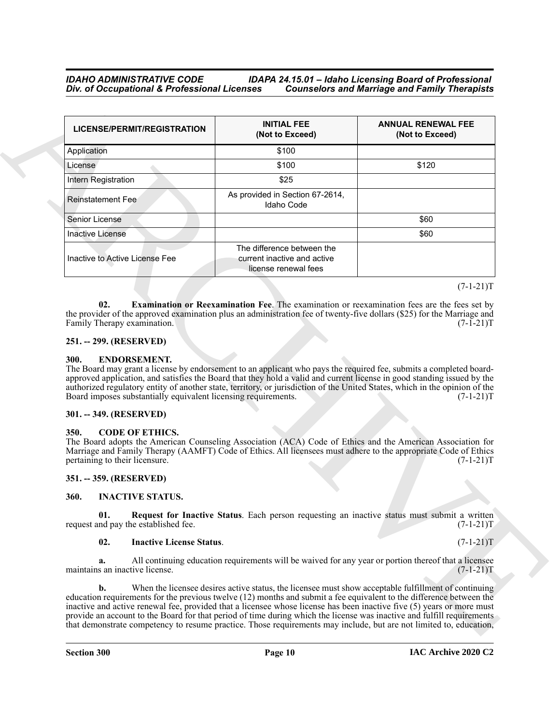| LICENSE/PERMIT/REGISTRATION                                                                                                                                                                                                                                                                                                                                                                                                                                                                                                                                                                                                                                                                                                                                                            | <b>INITIAL FEE</b><br>(Not to Exceed)                                                                | <b>ANNUAL RENEWAL FEE</b><br>(Not to Exceed) |
|----------------------------------------------------------------------------------------------------------------------------------------------------------------------------------------------------------------------------------------------------------------------------------------------------------------------------------------------------------------------------------------------------------------------------------------------------------------------------------------------------------------------------------------------------------------------------------------------------------------------------------------------------------------------------------------------------------------------------------------------------------------------------------------|------------------------------------------------------------------------------------------------------|----------------------------------------------|
| Application                                                                                                                                                                                                                                                                                                                                                                                                                                                                                                                                                                                                                                                                                                                                                                            | \$100                                                                                                |                                              |
| License                                                                                                                                                                                                                                                                                                                                                                                                                                                                                                                                                                                                                                                                                                                                                                                | \$100                                                                                                | \$120                                        |
| Intern Registration                                                                                                                                                                                                                                                                                                                                                                                                                                                                                                                                                                                                                                                                                                                                                                    | \$25                                                                                                 |                                              |
| Reinstatement Fee                                                                                                                                                                                                                                                                                                                                                                                                                                                                                                                                                                                                                                                                                                                                                                      | As provided in Section 67-2614,<br>Idaho Code                                                        |                                              |
| Senior License                                                                                                                                                                                                                                                                                                                                                                                                                                                                                                                                                                                                                                                                                                                                                                         |                                                                                                      | \$60                                         |
| Inactive License                                                                                                                                                                                                                                                                                                                                                                                                                                                                                                                                                                                                                                                                                                                                                                       |                                                                                                      | \$60                                         |
| Inactive to Active License Fee                                                                                                                                                                                                                                                                                                                                                                                                                                                                                                                                                                                                                                                                                                                                                         | The difference between the<br>current inactive and active<br>license renewal fees                    |                                              |
|                                                                                                                                                                                                                                                                                                                                                                                                                                                                                                                                                                                                                                                                                                                                                                                        |                                                                                                      | $(7-1-21)T$                                  |
| <b>ENDORSEMENT.</b>                                                                                                                                                                                                                                                                                                                                                                                                                                                                                                                                                                                                                                                                                                                                                                    |                                                                                                      |                                              |
| 300.<br>The Board may grant a license by endorsement to an applicant who pays the required fee, submits a completed board-<br>approved application, and satisfies the Board that they hold a valid and current license in good standing issued by the<br>authorized regulatory entity of another state, territory, or jurisdiction of the United States, which in the opinion of the<br>Board imposes substantially equivalent licensing requirements.<br>301. -- 349. (RESERVED)<br><b>CODE OF ETHICS.</b><br>350.<br>The Board adopts the American Counseling Association (ACA) Code of Ethics and the American Association for<br>Marriage and Family Therapy (AAMFT) Code of Ethics. All licensees must adhere to the appropriate Code of Ethics<br>pertaining to their licensure. |                                                                                                      | $(7-1-21)T$<br>$(7-1-21)T$                   |
| 351. -- 359. (RESERVED)                                                                                                                                                                                                                                                                                                                                                                                                                                                                                                                                                                                                                                                                                                                                                                |                                                                                                      |                                              |
| <b>INACTIVE STATUS.</b>                                                                                                                                                                                                                                                                                                                                                                                                                                                                                                                                                                                                                                                                                                                                                                |                                                                                                      |                                              |
| <b>360.</b><br>01.<br>request and pay the established fee.                                                                                                                                                                                                                                                                                                                                                                                                                                                                                                                                                                                                                                                                                                                             | Request for Inactive Status. Each person requesting an inactive status must submit a written         | $(7-1-21)T$                                  |
| 02.<br><b>Inactive License Status.</b>                                                                                                                                                                                                                                                                                                                                                                                                                                                                                                                                                                                                                                                                                                                                                 |                                                                                                      | $(7-1-21)T$                                  |
| a.<br>maintains an inactive license.                                                                                                                                                                                                                                                                                                                                                                                                                                                                                                                                                                                                                                                                                                                                                   | All continuing education requirements will be waived for any year or portion thereof that a licensee | $(7-1-21)T$                                  |

#### <span id="page-9-0"></span>**251. -- 299. (RESERVED)**

#### <span id="page-9-7"></span><span id="page-9-1"></span>**300. ENDORSEMENT.**

#### <span id="page-9-2"></span>**301. -- 349. (RESERVED)**

#### <span id="page-9-6"></span><span id="page-9-3"></span>**350. CODE OF ETHICS.**

#### <span id="page-9-4"></span>**351. -- 359. (RESERVED)**

#### <span id="page-9-8"></span><span id="page-9-5"></span>**360. INACTIVE STATUS.**

#### <span id="page-9-10"></span><span id="page-9-9"></span>**02. Inactive License Status**. (7-1-21)T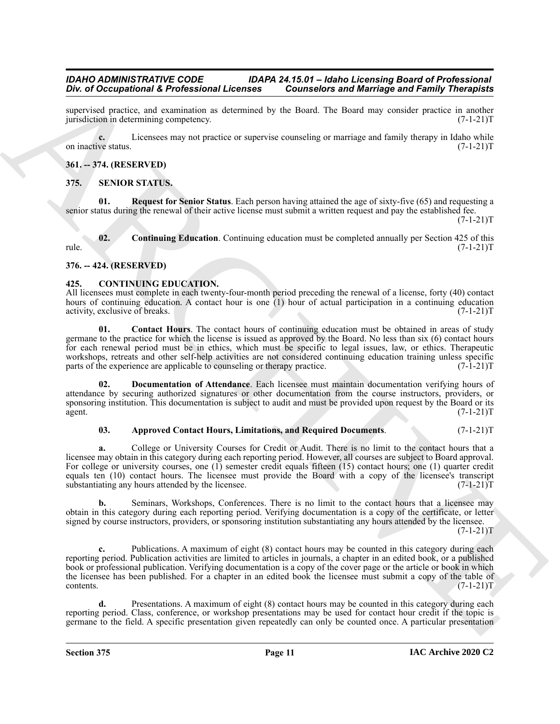supervised practice, and examination as determined by the Board. The Board may consider practice in another jurisdiction in determining competency. (7-1-21)T jurisdiction in determining competency.

**c.** Licensees may not practice or supervise counseling or marriage and family therapy in Idaho while on inactive status. (7-1-21)T

#### <span id="page-10-0"></span>**361. -- 374. (RESERVED)**

#### <span id="page-10-8"></span><span id="page-10-1"></span>**375. SENIOR STATUS.**

<span id="page-10-10"></span>**01. Request for Senior Status**. Each person having attained the age of sixty-five (65) and requesting a senior status during the renewal of their active license must submit a written request and pay the established fee.

 $(7-1-21)T$ 

<span id="page-10-9"></span>**02. Continuing Education**. Continuing education must be completed annually per Section 425 of this rule. (7-1-21)T

#### <span id="page-10-2"></span>**376. -- 424. (RESERVED)**

#### <span id="page-10-4"></span><span id="page-10-3"></span>**425. CONTINUING EDUCATION.**

All licensees must complete in each twenty-four-month period preceding the renewal of a license, forty (40) contact hours of continuing education. A contact hour is one (1) hour of actual participation in a continuing education activity, exclusive of breaks. activity, exclusive of breaks.

<span id="page-10-6"></span>**01. Contact Hours**. The contact hours of continuing education must be obtained in areas of study germane to the practice for which the license is issued as approved by the Board. No less than six (6) contact hours for each renewal period must be in ethics, which must be specific to legal issues, law, or ethics. Therapeutic workshops, retreats and other self-help activities are not considered continuing education training unless specific parts of the experience are applicable to counseling or therapy practice. (7-1-21) parts of the experience are applicable to counseling or therapy practice.

**02. Documentation of Attendance**. Each licensee must maintain documentation verifying hours of attendance by securing authorized signatures or other documentation from the course instructors, providers, or sponsoring institution. This documentation is subject to audit and must be provided upon request by the Board or its agent.  $(7-1-21)T$ 

#### <span id="page-10-7"></span><span id="page-10-5"></span>**03. Approved Contact Hours, Limitations, and Required Documents**. (7-1-21)T

The of Decembent 1.6 Professionary 1.6 Considered The Research of Maringo and Family Theoretical space of the state of the space of the state of the state of the state of the state of the state of the state of the state o **a.** College or University Courses for Credit or Audit. There is no limit to the contact hours that a licensee may obtain in this category during each reporting period. However, all courses are subject to Board approval. For college or university courses, one (1) semester credit equals fifteen (15) contact hours; one (1) quarter credit equals ten (10) contact hours. The licensee must provide the Board with a copy of the licensee's transcript substantiating any hours attended by the licensee. (7-1-21)T

**b.** Seminars, Workshops, Conferences. There is no limit to the contact hours that a licensee may obtain in this category during each reporting period. Verifying documentation is a copy of the certificate, or letter signed by course instructors, providers, or sponsoring institution substantiating any hours attended by the licensee.

 $(7-1-21)T$ 

**c.** Publications. A maximum of eight (8) contact hours may be counted in this category during each reporting period. Publication activities are limited to articles in journals, a chapter in an edited book, or a published book or professional publication. Verifying documentation is a copy of the cover page or the article or book in which the licensee has been published. For a chapter in an edited book the licensee must submit a copy of the table of  $\text{contents.}$  (7-1-21)T

**d.** Presentations. A maximum of eight (8) contact hours may be counted in this category during each reporting period. Class, conference, or workshop presentations may be used for contact hour credit if the topic is germane to the field. A specific presentation given repeatedly can only be counted once. A particular presentation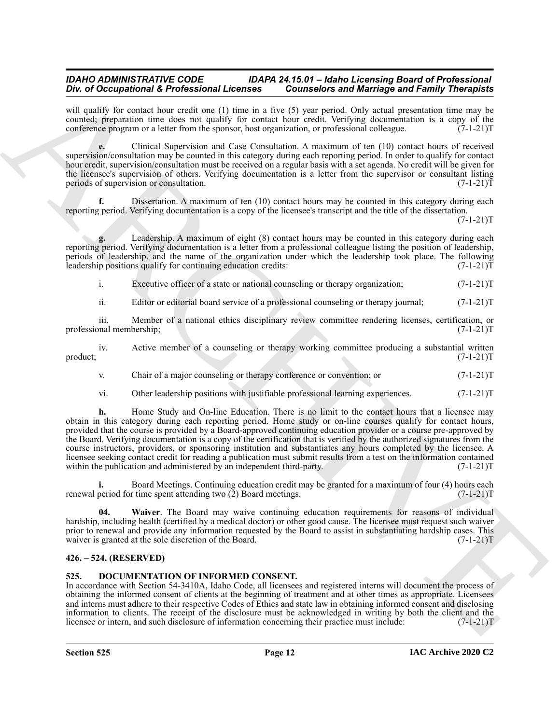will qualify for contact hour credit one (1) time in a five (5) year period. Only actual presentation time may be counted; preparation time does not qualify for contact hour credit. Verifying documentation is a copy of the conference program or a letter from the sponsor, host organization, or professional colleague. (7-1-21) conference program or a letter from the sponsor, host organization, or professional colleague.

**e.** Clinical Supervision and Case Consultation. A maximum of ten (10) contact hours of received supervision/consultation may be counted in this category during each reporting period. In order to qualify for contact hour credit, supervision/consultation must be received on a regular basis with a set agenda. No credit will be given for the licensee's supervision of others. Verifying documentation is a letter from the supervisor or consultant listing periods of supervision or consultation. (7-1-21)T

**f.** Dissertation. A maximum of ten (10) contact hours may be counted in this category during each reporting period. Verifying documentation is a copy of the licensee's transcript and the title of the dissertation.

 $(7-1-21)T$ 

**g.** Leadership. A maximum of eight (8) contact hours may be counted in this category during each reporting period. Verifying documentation is a letter from a professional colleague listing the position of leadership, periods of leadership, and the name of the organization under which the leadership took place. The following leadership positions qualify for continuing education credits: (7-1-21) leadership positions qualify for continuing education credits:

i. Executive officer of a state or national counseling or therapy organization;  $(7-1-21)$ T

ii. Editor or editorial board service of a professional counseling or therapy journal; (7-1-21)T

iii. Member of a national ethics disciplinary review committee rendering licenses, certification, or nal membership;  $(7-1-21)$ professional membership;

iv. Active member of a counseling or therapy working committee producing a substantial written  $(7-1-21)$ T product; (7-1-21)T

v. Chair of a major counseling or therapy conference or convention; or  $(7-1-21)$ T

vi. Other leadership positions with justifiable professional learning experiences.  $(7-1-21)$ T

The of Decomption of E. Polyticsborour Liberation 12 Constraints of Marchives and Marchives and Marchives and Marchives and Marchives and Marchives and Archives and Archives and Archives and Archives and Archives and Arc **h.** Home Study and On-line Education. There is no limit to the contact hours that a licensee may obtain in this category during each reporting period. Home study or on-line courses qualify for contact hours, provided that the course is provided by a Board-approved continuing education provider or a course pre-approved by the Board. Verifying documentation is a copy of the certification that is verified by the authorized signatures from the course instructors, providers, or sponsoring institution and substantiates any hours completed by the licensee. A licensee seeking contact credit for reading a publication must submit results from a test on the information contained within the publication and administered by an independent third-party. (7-1-21) within the publication and administered by an independent third-party.

**i.** Board Meetings. Continuing education credit may be granted for a maximum of four (4) hours each renewal period for time spent attending two  $(2)$  Board meetings. (7-1-21)T

<span id="page-11-2"></span>**04. Waiver**. The Board may waive continuing education requirements for reasons of individual hardship, including health (certified by a medical doctor) or other good cause. The licensee must request such waiver prior to renewal and provide any information requested by the Board to assist in substantiating hardship cases. This waiver is granted at the sole discretion of the Board. (7-1-21)T

#### <span id="page-11-0"></span>**426. – 524. (RESERVED)**

#### <span id="page-11-3"></span><span id="page-11-1"></span>**525. DOCUMENTATION OF INFORMED CONSENT.**

In accordance with Section 54-3410A, Idaho Code, all licensees and registered interns will document the process of obtaining the informed consent of clients at the beginning of treatment and at other times as appropriate. Licensees and interns must adhere to their respective Codes of Ethics and state law in obtaining informed consent and disclosing information to clients. The receipt of the disclosure must be acknowledged in writing by both the client and the licensee or intern, and such disclosure of information concerning their practice must include:  $(7-1-21)$ licensee or intern, and such disclosure of information concerning their practice must include: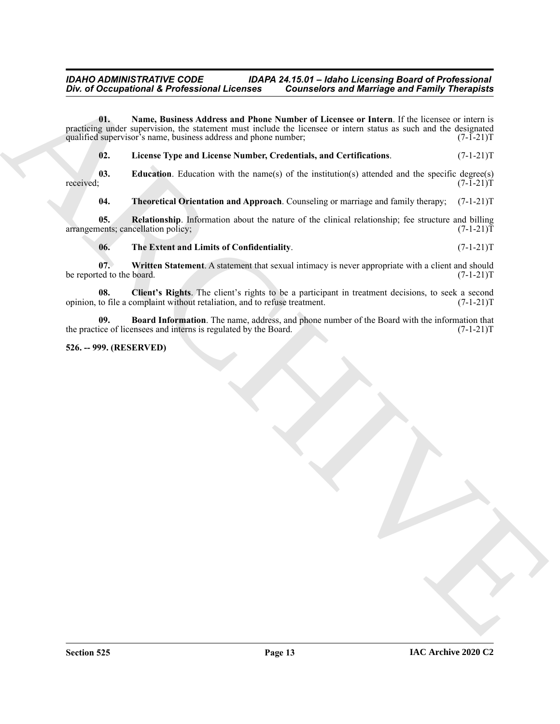One of Occupational K. Professional Licensies <sup>11</sup> Counseloirs and Marriago and Family Theoretical<br>
production with the base Number Number of Licenses or lines. If  $\mu$  is the second the product of the contents and conten **01. Name, Business Address and Phone Number of Licensee or Intern**. If the licensee or intern is practicing under supervision, the statement must include the licensee or intern status as such and the designated qualified supervisor's name, business address and phone number;  $(7-1-21)$ qualified supervisor's name, business address and phone number;

<span id="page-12-5"></span><span id="page-12-4"></span><span id="page-12-3"></span>**02. License Type and License Number, Credentials, and Certifications**. (7-1-21)T

**03.** Education. Education with the name(s) of the institution(s) attended and the specific degree(s) received;  $(7-1-21)T$ received; (7-1-21)T

<span id="page-12-8"></span><span id="page-12-6"></span>**04. Theoretical Orientation and Approach**. Counseling or marriage and family therapy; (7-1-21)T

**05. Relationship**. Information about the nature of the clinical relationship; fee structure and billing nents; cancellation policy;  $(7-1-21)$ arrangements; cancellation policy;

<span id="page-12-9"></span><span id="page-12-7"></span><span id="page-12-2"></span>**06. The Extent and Limits of Confidentiality**. (7-1-21)T

**07. Written Statement**. A statement that sexual intimacy is never appropriate with a client and should be reported to the board. (7-1-21)T

**08.** Client's Rights. The client's rights to be a participant in treatment decisions, to seek a second to file a complaint without retaliation, and to refuse treatment. (7-1-21) opinion, to file a complaint without retaliation, and to refuse treatment.

<span id="page-12-1"></span>**09. Board Information**. The name, address, and phone number of the Board with the information that the practice of licensees and interns is regulated by the Board. (7-1-21)T

#### <span id="page-12-0"></span>**526. -- 999. (RESERVED)**